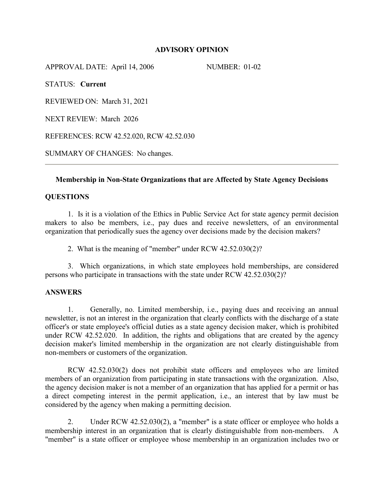## **ADVISORY OPINION**

APPROVAL DATE: April 14, 2006 NUMBER: 01-02

STATUS: **Current**

REVIEWED ON: March 31, 2021

NEXT REVIEW: March 2026

REFERENCES: RCW 42.52.020, RCW 42.52.030

SUMMARY OF CHANGES: No changes.

### **Membership in Non-State Organizations that are Affected by State Agency Decisions**

### **QUESTIONS**

1. Is it is a violation of the Ethics in Public Service Act for state agency permit decision makers to also be members, i.e., pay dues and receive newsletters, of an environmental organization that periodically sues the agency over decisions made by the decision makers?

2. What is the meaning of "member" under RCW 42.52.030(2)?

3. Which organizations, in which state employees hold memberships, are considered persons who participate in transactions with the state under RCW 42.52.030(2)?

#### **ANSWERS**

1. Generally, no. Limited membership, i.e., paying dues and receiving an annual newsletter, is not an interest in the organization that clearly conflicts with the discharge of a state officer's or state employee's official duties as a state agency decision maker, which is prohibited under RCW 42.52.020. In addition, the rights and obligations that are created by the agency decision maker's limited membership in the organization are not clearly distinguishable from non-members or customers of the organization.

RCW 42.52.030(2) does not prohibit state officers and employees who are limited members of an organization from participating in state transactions with the organization. Also, the agency decision maker is not a member of an organization that has applied for a permit or has a direct competing interest in the permit application, i.e., an interest that by law must be considered by the agency when making a permitting decision.

2. Under RCW 42.52.030(2), a "member" is a state officer or employee who holds a membership interest in an organization that is clearly distinguishable from non-members. A "member" is a state officer or employee whose membership in an organization includes two or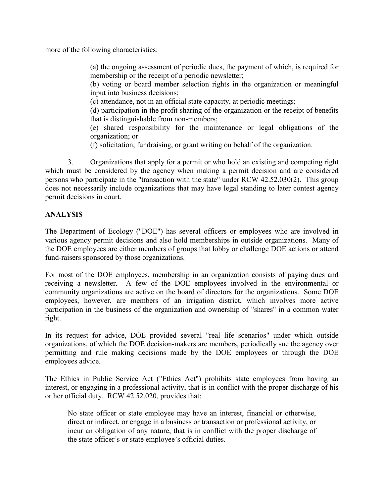more of the following characteristics:

(a) the ongoing assessment of periodic dues, the payment of which, is required for membership or the receipt of a periodic newsletter;

(b) voting or board member selection rights in the organization or meaningful input into business decisions;

(c) attendance, not in an official state capacity, at periodic meetings;

(d) participation in the profit sharing of the organization or the receipt of benefits that is distinguishable from non-members;

(e) shared responsibility for the maintenance or legal obligations of the organization; or

(f) solicitation, fundraising, or grant writing on behalf of the organization.

3. Organizations that apply for a permit or who hold an existing and competing right which must be considered by the agency when making a permit decision and are considered persons who participate in the "transaction with the state" under RCW 42.52.030(2). This group does not necessarily include organizations that may have legal standing to later contest agency permit decisions in court.

# **ANALYSIS**

The Department of Ecology ("DOE") has several officers or employees who are involved in various agency permit decisions and also hold memberships in outside organizations. Many of the DOE employees are either members of groups that lobby or challenge DOE actions or attend fund-raisers sponsored by those organizations.

For most of the DOE employees, membership in an organization consists of paying dues and receiving a newsletter. A few of the DOE employees involved in the environmental or community organizations are active on the board of directors for the organizations. Some DOE employees, however, are members of an irrigation district, which involves more active participation in the business of the organization and ownership of "shares" in a common water right.

In its request for advice, DOE provided several "real life scenarios" under which outside organizations, of which the DOE decision-makers are members, periodically sue the agency over permitting and rule making decisions made by the DOE employees or through the DOE employees advice.

The Ethics in Public Service Act ("Ethics Act") prohibits state employees from having an interest, or engaging in a professional activity, that is in conflict with the proper discharge of his or her official duty. RCW 42.52.020, provides that:

No state officer or state employee may have an interest, financial or otherwise, direct or indirect, or engage in a business or transaction or professional activity, or incur an obligation of any nature, that is in conflict with the proper discharge of the state officer's or state employee's official duties.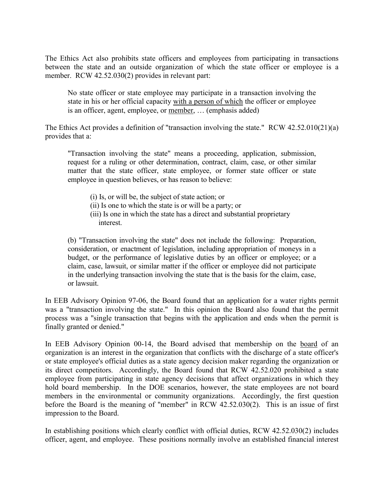The Ethics Act also prohibits state officers and employees from participating in transactions between the state and an outside organization of which the state officer or employee is a member. RCW 42.52.030(2) provides in relevant part:

No state officer or state employee may participate in a transaction involving the state in his or her official capacity with a person of which the officer or employee is an officer, agent, employee, or member, … (emphasis added)

The Ethics Act provides a definition of "transaction involving the state." RCW 42.52.010(21)(a) provides that a:

"Transaction involving the state" means a proceeding, application, submission, request for a ruling or other determination, contract, claim, case, or other similar matter that the state officer, state employee, or former state officer or state employee in question believes, or has reason to believe:

- (i) Is, or will be, the subject of state action; or
- (ii) Is one to which the state is or will be a party; or
- (iii) Is one in which the state has a direct and substantial proprietary interest.

(b) "Transaction involving the state" does not include the following: Preparation, consideration, or enactment of legislation, including appropriation of moneys in a budget, or the performance of legislative duties by an officer or employee; or a claim, case, lawsuit, or similar matter if the officer or employee did not participate in the underlying transaction involving the state that is the basis for the claim, case, or lawsuit.

In EEB Advisory Opinion 97-06, the Board found that an application for a water rights permit was a "transaction involving the state." In this opinion the Board also found that the permit process was a "single transaction that begins with the application and ends when the permit is finally granted or denied."

In EEB Advisory Opinion 00-14, the Board advised that membership on the board of an organization is an interest in the organization that conflicts with the discharge of a state officer's or state employee's official duties as a state agency decision maker regarding the organization or its direct competitors. Accordingly, the Board found that RCW 42.52.020 prohibited a state employee from participating in state agency decisions that affect organizations in which they hold board membership. In the DOE scenarios, however, the state employees are not board members in the environmental or community organizations. Accordingly, the first question before the Board is the meaning of "member" in RCW 42.52.030(2). This is an issue of first impression to the Board.

In establishing positions which clearly conflict with official duties, RCW 42.52.030(2) includes officer, agent, and employee. These positions normally involve an established financial interest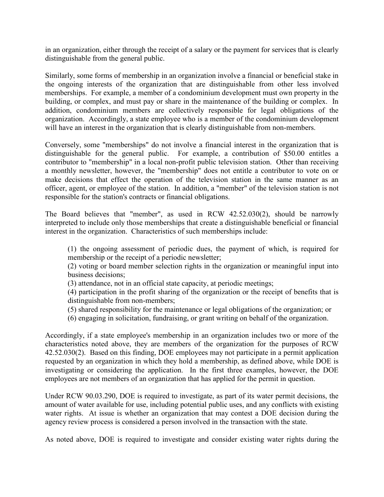in an organization, either through the receipt of a salary or the payment for services that is clearly distinguishable from the general public.

Similarly, some forms of membership in an organization involve a financial or beneficial stake in the ongoing interests of the organization that are distinguishable from other less involved memberships. For example, a member of a condominium development must own property in the building, or complex, and must pay or share in the maintenance of the building or complex. In addition, condominium members are collectively responsible for legal obligations of the organization. Accordingly, a state employee who is a member of the condominium development will have an interest in the organization that is clearly distinguishable from non-members.

Conversely, some "memberships" do not involve a financial interest in the organization that is distinguishable for the general public. For example, a contribution of \$50.00 entitles a contributor to "membership" in a local non-profit public television station. Other than receiving a monthly newsletter, however, the "membership" does not entitle a contributor to vote on or make decisions that effect the operation of the television station in the same manner as an officer, agent, or employee of the station. In addition, a "member" of the television station is not responsible for the station's contracts or financial obligations.

The Board believes that "member", as used in RCW 42.52.030(2), should be narrowly interpreted to include only those memberships that create a distinguishable beneficial or financial interest in the organization. Characteristics of such memberships include:

(1) the ongoing assessment of periodic dues, the payment of which, is required for membership or the receipt of a periodic newsletter;

(2) voting or board member selection rights in the organization or meaningful input into business decisions;

(3) attendance, not in an official state capacity, at periodic meetings;

(4) participation in the profit sharing of the organization or the receipt of benefits that is distinguishable from non-members;

- (5) shared responsibility for the maintenance or legal obligations of the organization; or
- (6) engaging in solicitation, fundraising, or grant writing on behalf of the organization.

Accordingly, if a state employee's membership in an organization includes two or more of the characteristics noted above, they are members of the organization for the purposes of RCW 42.52.030(2). Based on this finding, DOE employees may not participate in a permit application requested by an organization in which they hold a membership, as defined above, while DOE is investigating or considering the application. In the first three examples, however, the DOE employees are not members of an organization that has applied for the permit in question.

Under RCW 90.03.290, DOE is required to investigate, as part of its water permit decisions, the amount of water available for use, including potential public uses, and any conflicts with existing water rights. At issue is whether an organization that may contest a DOE decision during the agency review process is considered a person involved in the transaction with the state.

As noted above, DOE is required to investigate and consider existing water rights during the